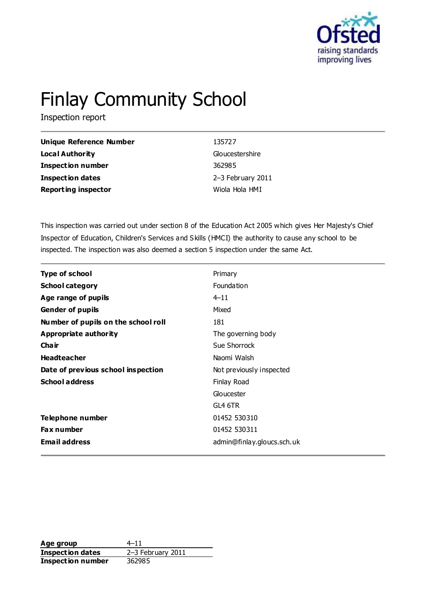

# Finlay Community School

Inspection report

| <b>Unique Reference Number</b> | 135727            |
|--------------------------------|-------------------|
| <b>Local Authority</b>         | Gloucestershire   |
| <b>Inspection number</b>       | 362985            |
| <b>Inspection dates</b>        | 2-3 February 2011 |
| <b>Reporting inspector</b>     | Wiola Hola HMI    |

This inspection was carried out under section 8 of the Education Act 2005 which gives Her Majesty's Chief Inspector of Education, Children's Services and Skills (HMCI) the authority to cause any school to be inspected. The inspection was also deemed a section 5 inspection under the same Act.

| <b>Type of school</b>               | Primary                    |
|-------------------------------------|----------------------------|
| <b>School category</b>              | Foundation                 |
| Age range of pupils                 | $4 - 11$                   |
| <b>Gender of pupils</b>             | Mixed                      |
| Number of pupils on the school roll | 181                        |
| Appropriate authority               | The governing body         |
| Cha ir                              | Sue Shorrock               |
| <b>Headteacher</b>                  | Naomi Walsh                |
| Date of previous school inspection  | Not previously inspected   |
| <b>School address</b>               | Finlay Road                |
|                                     | Gloucester                 |
|                                     | GL4 6TR                    |
| Telephone number                    | 01452 530310               |
| <b>Fax number</b>                   | 01452 530311               |
| <b>Email address</b>                | admin@finlay.gloucs.sch.uk |

**Age group** 4–11 **Inspection dates** 2–3 February 2011 **Inspection number** 362985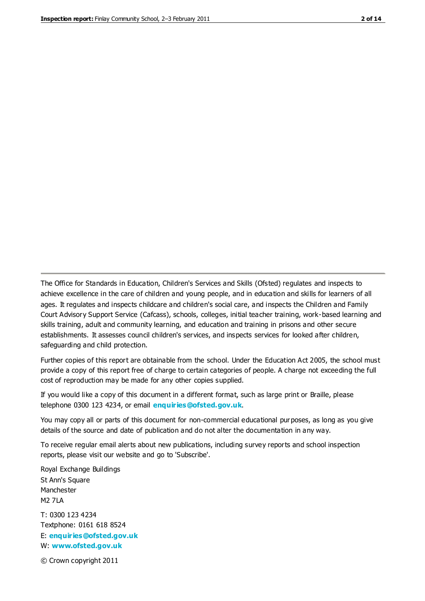The Office for Standards in Education, Children's Services and Skills (Ofsted) regulates and inspects to achieve excellence in the care of children and young people, and in education and skills for learners of all ages. It regulates and inspects childcare and children's social care, and inspects the Children and Family Court Advisory Support Service (Cafcass), schools, colleges, initial teacher training, work-based learning and skills training, adult and community learning, and education and training in prisons and other secure establishments. It assesses council children's services, and inspects services for looked after children, safeguarding and child protection.

Further copies of this report are obtainable from the school. Under the Education Act 2005, the school must provide a copy of this report free of charge to certain categories of people. A charge not exceeding the full cost of reproduction may be made for any other copies supplied.

If you would like a copy of this document in a different format, such as large print or Braille, please telephone 0300 123 4234, or email **[enquiries@ofsted.gov.uk](mailto:enquiries@ofsted.gov.uk)**.

You may copy all or parts of this document for non-commercial educational purposes, as long as you give details of the source and date of publication and do not alter the documentation in any way.

To receive regular email alerts about new publications, including survey reports and school inspection reports, please visit our website and go to 'Subscribe'.

Royal Exchange Buildings St Ann's Square Manchester M2 7LA T: 0300 123 4234 Textphone: 0161 618 8524 E: **[enquiries@ofsted.gov.uk](mailto:enquiries@ofsted.gov.uk)**

W: **[www.ofsted.gov.uk](http://www.ofsted.gov.uk/)**

© Crown copyright 2011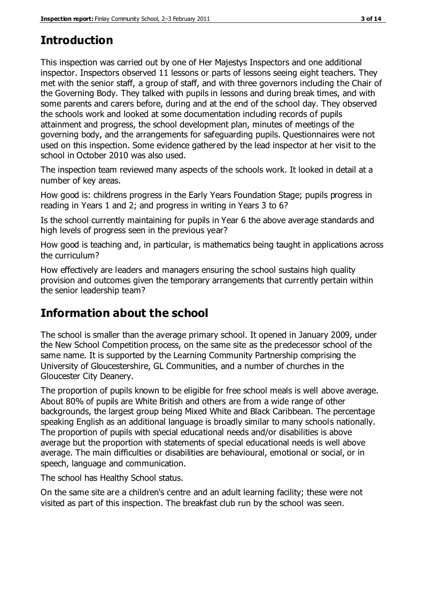# **Introduction**

This inspection was carried out by one of Her Majestys Inspectors and one additional inspector. Inspectors observed 11 lessons or parts of lessons seeing eight teachers. They met with the senior staff, a group of staff, and with three governors including the Chair of the Governing Body. They talked with pupils in lessons and during break times, and with some parents and carers before, during and at the end of the school day. They observed the schools work and looked at some documentation including records of pupils attainment and progress, the school development plan, minutes of meetings of the governing body, and the arrangements for safeguarding pupils. Questionnaires were not used on this inspection. Some evidence gathered by the lead inspector at her visit to the school in October 2010 was also used.

The inspection team reviewed many aspects of the schools work. It looked in detail at a number of key areas.

How good is: childrens progress in the Early Years Foundation Stage; pupils progress in reading in Years 1 and 2; and progress in writing in Years 3 to 6?

Is the school currently maintaining for pupils in Year 6 the above average standards and high levels of progress seen in the previous year?

How good is teaching and, in particular, is mathematics being taught in applications across the curriculum?

How effectively are leaders and managers ensuring the school sustains high quality provision and outcomes given the temporary arrangements that currently pertain within the senior leadership team?

# **Information about the school**

The school is smaller than the average primary school. It opened in January 2009, under the New School Competition process, on the same site as the predecessor school of the same name. It is supported by the Learning Community Partnership comprising the University of Gloucestershire, GL Communities, and a number of churches in the Gloucester City Deanery.

The proportion of pupils known to be eligible for free school meals is well above average. About 80% of pupils are White British and others are from a wide range of other backgrounds, the largest group being Mixed White and Black Caribbean. The percentage speaking English as an additional language is broadly similar to many schools nationally. The proportion of pupils with special educational needs and/or disabilities is above average but the proportion with statements of special educational needs is well above average. The main difficulties or disabilities are behavioural, emotional or social, or in speech, language and communication.

The school has Healthy School status.

On the same site are a children's centre and an adult learning facility; these were not visited as part of this inspection. The breakfast club run by the school was seen.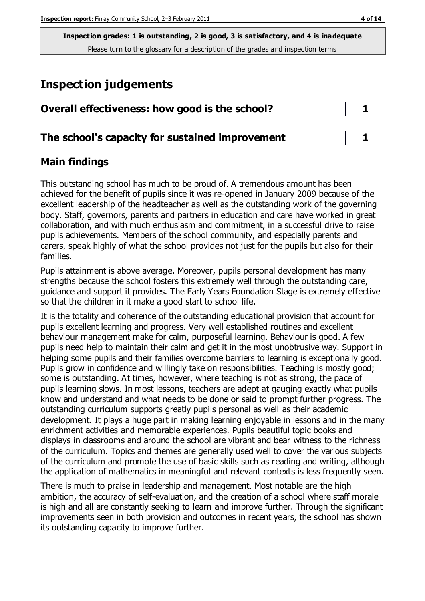# **Inspection judgements**

| Overall effectiveness: how good is the school?  |  |
|-------------------------------------------------|--|
| The school's capacity for sustained improvement |  |

## **Main findings**

This outstanding school has much to be proud of. A tremendous amount has been achieved for the benefit of pupils since it was re-opened in January 2009 because of the excellent leadership of the headteacher as well as the outstanding work of the governing body. Staff, governors, parents and partners in education and care have worked in great collaboration, and with much enthusiasm and commitment, in a successful drive to raise pupils achievements. Members of the school community, and especially parents and carers, speak highly of what the school provides not just for the pupils but also for their families.

Pupils attainment is above average. Moreover, pupils personal development has many strengths because the school fosters this extremely well through the outstanding care, guidance and support it provides. The Early Years Foundation Stage is extremely effective so that the children in it make a good start to school life.

It is the totality and coherence of the outstanding educational provision that account for pupils excellent learning and progress. Very well established routines and excellent behaviour management make for calm, purposeful learning. Behaviour is good. A few pupils need help to maintain their calm and get it in the most unobtrusive way. Support in helping some pupils and their families overcome barriers to learning is exceptionally good. Pupils grow in confidence and willingly take on responsibilities. Teaching is mostly good; some is outstanding. At times, however, where teaching is not as strong, the pace of pupils learning slows. In most lessons, teachers are adept at gauging exactly what pupils know and understand and what needs to be done or said to prompt further progress. The outstanding curriculum supports greatly pupils personal as well as their academic development. It plays a huge part in making learning enjoyable in lessons and in the many enrichment activities and memorable experiences. Pupils beautiful topic books and displays in classrooms and around the school are vibrant and bear witness to the richness of the curriculum. Topics and themes are generally used well to cover the various subjects of the curriculum and promote the use of basic skills such as reading and writing, although the application of mathematics in meaningful and relevant contexts is less frequently seen.

There is much to praise in leadership and management. Most notable are the high ambition, the accuracy of self-evaluation, and the creation of a school where staff morale is high and all are constantly seeking to learn and improve further. Through the significant improvements seen in both provision and outcomes in recent years, the school has shown its outstanding capacity to improve further.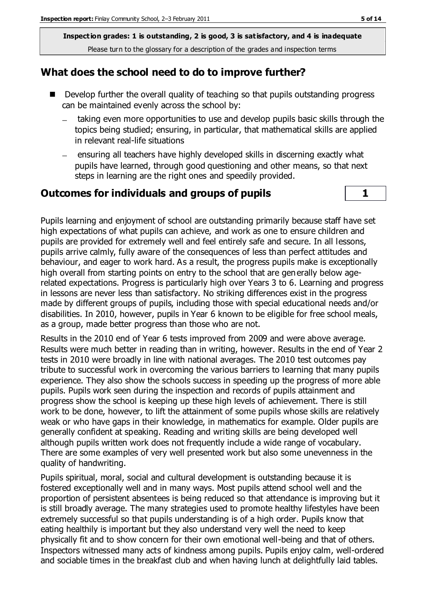## **What does the school need to do to improve further?**

- Develop further the overall quality of teaching so that pupils outstanding progress can be maintained evenly across the school by:
	- taking even more opportunities to use and develop pupils basic skills through the  $\equiv$ topics being studied; ensuring, in particular, that mathematical skills are applied in relevant real-life situations
	- ensuring all teachers have highly developed skills in discerning exactly what pupils have learned, through good questioning and other means, so that next steps in learning are the right ones and speedily provided.

## **Outcomes for individuals and groups of pupils 1**



Pupils learning and enjoyment of school are outstanding primarily because staff have set high expectations of what pupils can achieve, and work as one to ensure children and pupils are provided for extremely well and feel entirely safe and secure. In all lessons, pupils arrive calmly, fully aware of the consequences of less than perfect attitudes and behaviour, and eager to work hard. As a result, the progress pupils make is exceptionally high overall from starting points on entry to the school that are generally below agerelated expectations. Progress is particularly high over Years 3 to 6. Learning and progress in lessons are never less than satisfactory. No striking differences exist in the progress made by different groups of pupils, including those with special educational needs and/or disabilities. In 2010, however, pupils in Year 6 known to be eligible for free school meals, as a group, made better progress than those who are not.

Results in the 2010 end of Year 6 tests improved from 2009 and were above average. Results were much better in reading than in writing, however. Results in the end of Year 2 tests in 2010 were broadly in line with national averages. The 2010 test outcomes pay tribute to successful work in overcoming the various barriers to learning that many pupils experience. They also show the schools success in speeding up the progress of more able pupils. Pupils work seen during the inspection and records of pupils attainment and progress show the school is keeping up these high levels of achievement. There is still work to be done, however, to lift the attainment of some pupils whose skills are relatively weak or who have gaps in their knowledge, in mathematics for example. Older pupils are generally confident at speaking. Reading and writing skills are being developed well although pupils written work does not frequently include a wide range of vocabulary. There are some examples of very well presented work but also some unevenness in the quality of handwriting.

Pupils spiritual, moral, social and cultural development is outstanding because it is fostered exceptionally well and in many ways. Most pupils attend school well and the proportion of persistent absentees is being reduced so that attendance is improving but it is still broadly average. The many strategies used to promote healthy lifestyles have been extremely successful so that pupils understanding is of a high order. Pupils know that eating healthily is important but they also understand very well the need to keep physically fit and to show concern for their own emotional well-being and that of others. Inspectors witnessed many acts of kindness among pupils. Pupils enjoy calm, well-ordered and sociable times in the breakfast club and when having lunch at delightfully laid tables.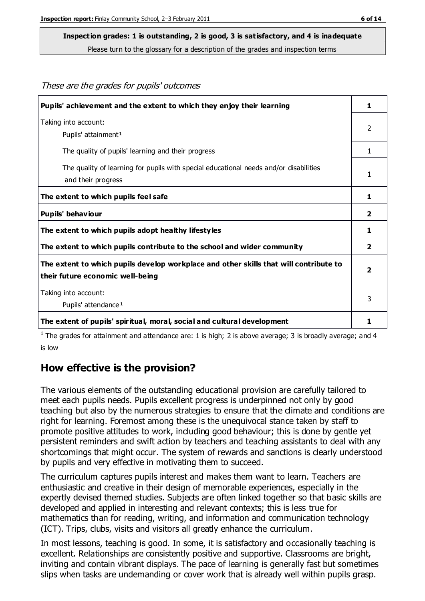These are the grades for pupils' outcomes

## **Inspection grades: 1 is outstanding, 2 is good, 3 is satisfactory, and 4 is inadequate**

Please turn to the glossary for a description of the grades and inspection terms

| Pupils' achievement and the extent to which they enjoy their learning                                                     | 1                       |
|---------------------------------------------------------------------------------------------------------------------------|-------------------------|
| Taking into account:<br>Pupils' attainment <sup>1</sup>                                                                   | 2                       |
| The quality of pupils' learning and their progress                                                                        | 1                       |
| The quality of learning for pupils with special educational needs and/or disabilities<br>and their progress               | 1                       |
| The extent to which pupils feel safe                                                                                      | 1                       |
| Pupils' behaviour                                                                                                         | 2                       |
| The extent to which pupils adopt healthy lifestyles                                                                       | 1                       |
| The extent to which pupils contribute to the school and wider community                                                   | $\overline{2}$          |
| The extent to which pupils develop workplace and other skills that will contribute to<br>their future economic well-being | $\overline{\mathbf{2}}$ |
| Taking into account:<br>Pupils' attendance <sup>1</sup>                                                                   | 3                       |
| The extent of pupils' spiritual, moral, social and cultural development                                                   | 1                       |

<sup>1</sup> The grades for attainment and attendance are: 1 is high; 2 is above average; 3 is broadly average; and 4 is low

## **How effective is the provision?**

The various elements of the outstanding educational provision are carefully tailored to meet each pupils needs. Pupils excellent progress is underpinned not only by good teaching but also by the numerous strategies to ensure that the climate and conditions are right for learning. Foremost among these is the unequivocal stance taken by staff to promote positive attitudes to work, including good behaviour; this is done by gentle yet persistent reminders and swift action by teachers and teaching assistants to deal with any shortcomings that might occur. The system of rewards and sanctions is clearly understood by pupils and very effective in motivating them to succeed.

The curriculum captures pupils interest and makes them want to learn. Teachers are enthusiastic and creative in their design of memorable experiences, especially in the expertly devised themed studies. Subjects are often linked together so that basic skills are developed and applied in interesting and relevant contexts; this is less true for mathematics than for reading, writing, and information and communication technology (ICT). Trips, clubs, visits and visitors all greatly enhance the curriculum.

In most lessons, teaching is good. In some, it is satisfactory and occasionally teaching is excellent. Relationships are consistently positive and supportive. Classrooms are bright, inviting and contain vibrant displays. The pace of learning is generally fast but sometimes slips when tasks are undemanding or cover work that is already well within pupils grasp.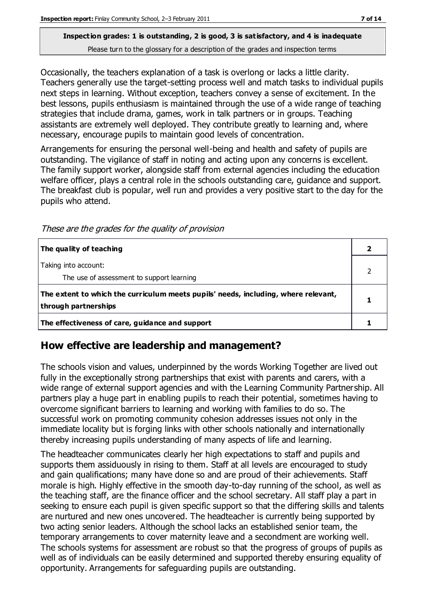Occasionally, the teachers explanation of a task is overlong or lacks a little clarity. Teachers generally use the target-setting process well and match tasks to individual pupils next steps in learning. Without exception, teachers convey a sense of excitement. In the best lessons, pupils enthusiasm is maintained through the use of a wide range of teaching strategies that include drama, games, work in talk partners or in groups. Teaching assistants are extremely well deployed. They contribute greatly to learning and, where necessary, encourage pupils to maintain good levels of concentration.

Arrangements for ensuring the personal well-being and health and safety of pupils are outstanding. The vigilance of staff in noting and acting upon any concerns is excellent. The family support worker, alongside staff from external agencies including the education welfare officer, plays a central role in the schools outstanding care, guidance and support. The breakfast club is popular, well run and provides a very positive start to the day for the pupils who attend.

These are the grades for the quality of provision

| The quality of teaching                                                                                    |  |
|------------------------------------------------------------------------------------------------------------|--|
| Taking into account:<br>The use of assessment to support learning                                          |  |
| The extent to which the curriculum meets pupils' needs, including, where relevant,<br>through partnerships |  |
| The effectiveness of care, guidance and support                                                            |  |

## **How effective are leadership and management?**

The schools vision and values, underpinned by the words Working Together are lived out fully in the exceptionally strong partnerships that exist with parents and carers, with a wide range of external support agencies and with the Learning Community Partnership. All partners play a huge part in enabling pupils to reach their potential, sometimes having to overcome significant barriers to learning and working with families to do so. The successful work on promoting community cohesion addresses issues not only in the immediate locality but is forging links with other schools nationally and internationally thereby increasing pupils understanding of many aspects of life and learning.

The headteacher communicates clearly her high expectations to staff and pupils and supports them assiduously in rising to them. Staff at all levels are encouraged to study and gain qualifications; many have done so and are proud of their achievements. Staff morale is high. Highly effective in the smooth day-to-day running of the school, as well as the teaching staff, are the finance officer and the school secretary. All staff play a part in seeking to ensure each pupil is given specific support so that the differing skills and talents are nurtured and new ones uncovered. The headteacher is currently being supported by two acting senior leaders. Although the school lacks an established senior team, the temporary arrangements to cover maternity leave and a secondment are working well. The schools systems for assessment are robust so that the progress of groups of pupils as well as of individuals can be easily determined and supported thereby ensuring equality of opportunity. Arrangements for safeguarding pupils are outstanding.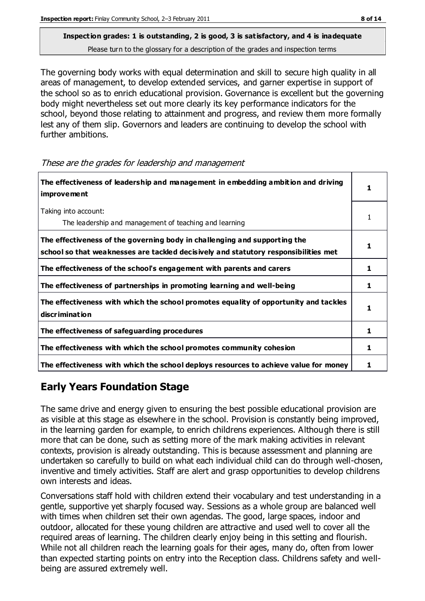The governing body works with equal determination and skill to secure high quality in all areas of management, to develop extended services, and garner expertise in support of the school so as to enrich educational provision. Governance is excellent but the governing body might nevertheless set out more clearly its key performance indicators for the school, beyond those relating to attainment and progress, and review them more formally lest any of them slip. Governors and leaders are continuing to develop the school with further ambitions.

These are the grades for leadership and management

| The effectiveness of leadership and management in embedding ambition and driving<br><b>improvement</b>                                                           |    |
|------------------------------------------------------------------------------------------------------------------------------------------------------------------|----|
| Taking into account:<br>The leadership and management of teaching and learning                                                                                   |    |
| The effectiveness of the governing body in challenging and supporting the<br>school so that weaknesses are tackled decisively and statutory responsibilities met |    |
| The effectiveness of the school's engagement with parents and carers                                                                                             | 1  |
| The effectiveness of partnerships in promoting learning and well-being                                                                                           | 1  |
| The effectiveness with which the school promotes equality of opportunity and tackles<br><b>discrimination</b>                                                    | 1. |
| The effectiveness of safeguarding procedures                                                                                                                     |    |
| The effectiveness with which the school promotes community cohesion                                                                                              |    |
| The effectiveness with which the school deploys resources to achieve value for money                                                                             |    |

## **Early Years Foundation Stage**

The same drive and energy given to ensuring the best possible educational provision are as visible at this stage as elsewhere in the school. Provision is constantly being improved, in the learning garden for example, to enrich childrens experiences. Although there is still more that can be done, such as setting more of the mark making activities in relevant contexts, provision is already outstanding. This is because assessment and planning are undertaken so carefully to build on what each individual child can do through well-chosen, inventive and timely activities. Staff are alert and grasp opportunities to develop childrens own interests and ideas.

Conversations staff hold with children extend their vocabulary and test understanding in a gentle, supportive yet sharply focused way. Sessions as a whole group are balanced well with times when children set their own agendas. The good, large spaces, indoor and outdoor, allocated for these young children are attractive and used well to cover all the required areas of learning. The children clearly enjoy being in this setting and flourish. While not all children reach the learning goals for their ages, many do, often from lower than expected starting points on entry into the Reception class. Childrens safety and wellbeing are assured extremely well.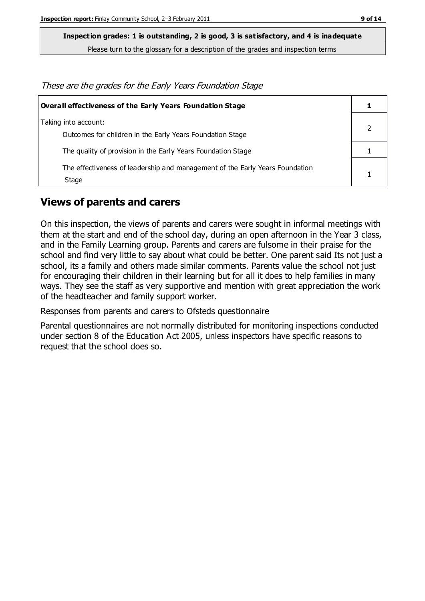**Inspection grades: 1 is outstanding, 2 is good, 3 is satisfactory, and 4 is inadequate**

Please turn to the glossary for a description of the grades and inspection terms

These are the grades for the Early Years Foundation Stage

| <b>Overall effectiveness of the Early Years Foundation Stage</b>                      |  |
|---------------------------------------------------------------------------------------|--|
| Taking into account:<br>Outcomes for children in the Early Years Foundation Stage     |  |
| The quality of provision in the Early Years Foundation Stage                          |  |
| The effectiveness of leadership and management of the Early Years Foundation<br>Stage |  |

#### **Views of parents and carers**

On this inspection, the views of parents and carers were sought in informal meetings with them at the start and end of the school day, during an open afternoon in the Year 3 class, and in the Family Learning group. Parents and carers are fulsome in their praise for the school and find very little to say about what could be better. One parent said Its not just a school, its a family and others made similar comments. Parents value the school not just for encouraging their children in their learning but for all it does to help families in many ways. They see the staff as very supportive and mention with great appreciation the work of the headteacher and family support worker.

Responses from parents and carers to Ofsteds questionnaire

Parental questionnaires are not normally distributed for monitoring inspections conducted under section 8 of the Education Act 2005, unless inspectors have specific reasons to request that the school does so.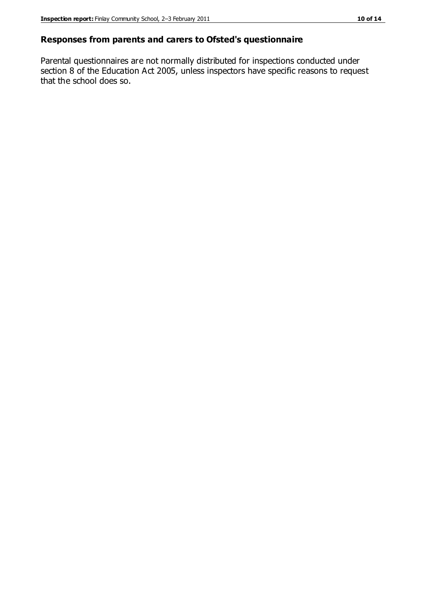#### **Responses from parents and carers to Ofsted's questionnaire**

Parental questionnaires are not normally distributed for inspections conducted under section 8 of the Education Act 2005, unless inspectors have specific reasons to request that the school does so.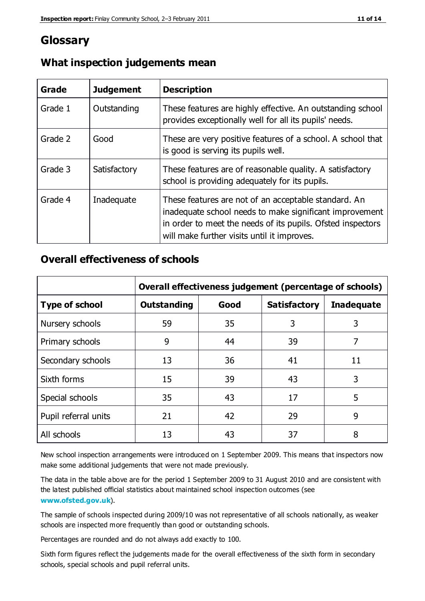## **Glossary**

| Grade   | <b>Judgement</b> | <b>Description</b>                                                                                                                                                                                                            |
|---------|------------------|-------------------------------------------------------------------------------------------------------------------------------------------------------------------------------------------------------------------------------|
| Grade 1 | Outstanding      | These features are highly effective. An outstanding school<br>provides exceptionally well for all its pupils' needs.                                                                                                          |
| Grade 2 | Good             | These are very positive features of a school. A school that<br>is good is serving its pupils well.                                                                                                                            |
| Grade 3 | Satisfactory     | These features are of reasonable quality. A satisfactory<br>school is providing adequately for its pupils.                                                                                                                    |
| Grade 4 | Inadequate       | These features are not of an acceptable standard. An<br>inadequate school needs to make significant improvement<br>in order to meet the needs of its pupils. Ofsted inspectors<br>will make further visits until it improves. |

## **What inspection judgements mean**

## **Overall effectiveness of schools**

|                       | Overall effectiveness judgement (percentage of schools) |      |                     |                   |
|-----------------------|---------------------------------------------------------|------|---------------------|-------------------|
| <b>Type of school</b> | <b>Outstanding</b>                                      | Good | <b>Satisfactory</b> | <b>Inadequate</b> |
| Nursery schools       | 59                                                      | 35   | 3                   | 3                 |
| Primary schools       | 9                                                       | 44   | 39                  | 7                 |
| Secondary schools     | 13                                                      | 36   | 41                  | 11                |
| Sixth forms           | 15                                                      | 39   | 43                  | 3                 |
| Special schools       | 35                                                      | 43   | 17                  | 5                 |
| Pupil referral units  | 21                                                      | 42   | 29                  | 9                 |
| All schools           | 13                                                      | 43   | 37                  | 8                 |

New school inspection arrangements were introduced on 1 September 2009. This means that inspectors now make some additional judgements that were not made previously.

The data in the table above are for the period 1 September 2009 to 31 August 2010 and are consistent with the latest published official statistics about maintained school inspection outcomes (see **[www.ofsted.gov.uk](http://www.ofsted.gov.uk/)**).

The sample of schools inspected during 2009/10 was not representative of all schools nationally, as weaker schools are inspected more frequently than good or outstanding schools.

Percentages are rounded and do not always add exactly to 100.

Sixth form figures reflect the judgements made for the overall effectiveness of the sixth form in secondary schools, special schools and pupil referral units.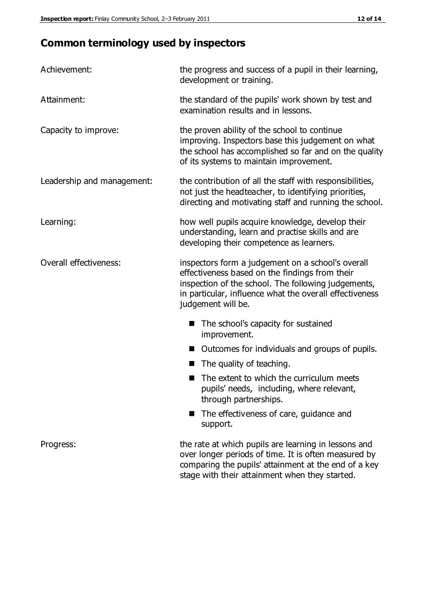## **Common terminology used by inspectors**

| Achievement:               | the progress and success of a pupil in their learning,<br>development or training.                                                                                                                                                          |  |
|----------------------------|---------------------------------------------------------------------------------------------------------------------------------------------------------------------------------------------------------------------------------------------|--|
| Attainment:                | the standard of the pupils' work shown by test and<br>examination results and in lessons.                                                                                                                                                   |  |
| Capacity to improve:       | the proven ability of the school to continue<br>improving. Inspectors base this judgement on what<br>the school has accomplished so far and on the quality<br>of its systems to maintain improvement.                                       |  |
| Leadership and management: | the contribution of all the staff with responsibilities,<br>not just the headteacher, to identifying priorities,<br>directing and motivating staff and running the school.                                                                  |  |
| Learning:                  | how well pupils acquire knowledge, develop their<br>understanding, learn and practise skills and are<br>developing their competence as learners.                                                                                            |  |
| Overall effectiveness:     | inspectors form a judgement on a school's overall<br>effectiveness based on the findings from their<br>inspection of the school. The following judgements,<br>in particular, influence what the overall effectiveness<br>judgement will be. |  |
|                            | The school's capacity for sustained<br>improvement.                                                                                                                                                                                         |  |
|                            | Outcomes for individuals and groups of pupils.                                                                                                                                                                                              |  |
|                            | The quality of teaching.                                                                                                                                                                                                                    |  |
|                            | The extent to which the curriculum meets<br>pupils' needs, including, where relevant,<br>through partnerships.                                                                                                                              |  |
|                            | The effectiveness of care, guidance and<br>support.                                                                                                                                                                                         |  |
| Progress:                  | the rate at which pupils are learning in lessons and<br>over longer periods of time. It is often measured by<br>comparing the pupils' attainment at the end of a key                                                                        |  |

stage with their attainment when they started.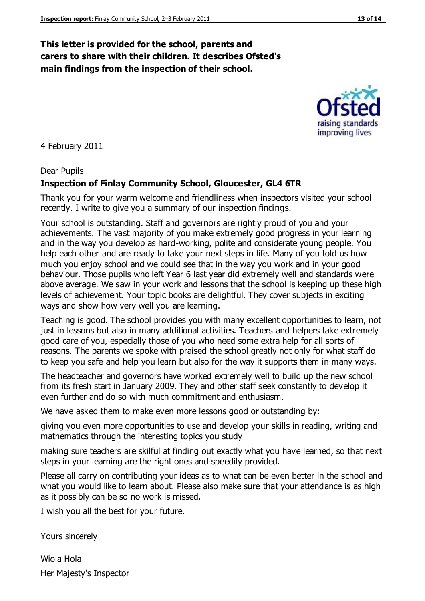## **This letter is provided for the school, parents and carers to share with their children. It describes Ofsted's main findings from the inspection of their school.**

4 February 2011

#### Dear Pupils

#### **Inspection of Finlay Community School, Gloucester, GL4 6TR**

Thank you for your warm welcome and friendliness when inspectors visited your school recently. I write to give you a summary of our inspection findings.

Your school is outstanding. Staff and governors are rightly proud of you and your achievements. The vast majority of you make extremely good progress in your learning and in the way you develop as hard-working, polite and considerate young people. You help each other and are ready to take your next steps in life. Many of you told us how much you enjoy school and we could see that in the way you work and in your good behaviour. Those pupils who left Year 6 last year did extremely well and standards were above average. We saw in your work and lessons that the school is keeping up these high levels of achievement. Your topic books are delightful. They cover subjects in exciting ways and show how very well you are learning.

Teaching is good. The school provides you with many excellent opportunities to learn, not just in lessons but also in many additional activities. Teachers and helpers take extremely good care of you, especially those of you who need some extra help for all sorts of reasons. The parents we spoke with praised the school greatly not only for what staff do to keep you safe and help you learn but also for the way it supports them in many ways.

The headteacher and governors have worked extremely well to build up the new school from its fresh start in January 2009. They and other staff seek constantly to develop it even further and do so with much commitment and enthusiasm.

We have asked them to make even more lessons good or outstanding by:

giving you even more opportunities to use and develop your skills in reading, writing and mathematics through the interesting topics you study

making sure teachers are skilful at finding out exactly what you have learned, so that next steps in your learning are the right ones and speedily provided.

Please all carry on contributing your ideas as to what can be even better in the school and what you would like to learn about. Please also make sure that your attendance is as high as it possibly can be so no work is missed.

I wish you all the best for your future.

Yours sincerely

Wiola Hola Her Majesty's Inspector